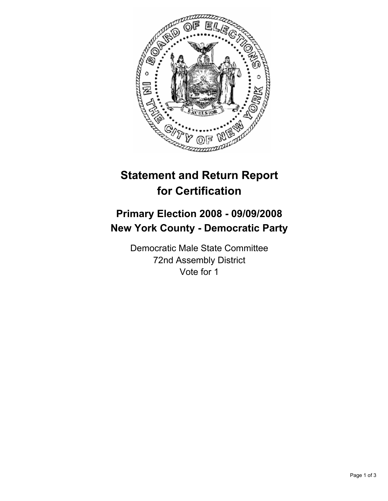

## **Statement and Return Report for Certification**

## **Primary Election 2008 - 09/09/2008 New York County - Democratic Party**

Democratic Male State Committee 72nd Assembly District Vote for 1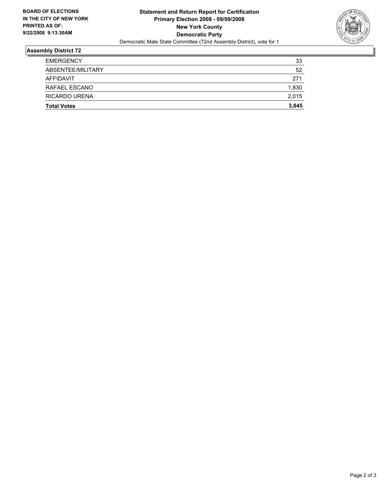

## **Assembly District 72**

| <b>Total Votes</b> | 3,845 |
|--------------------|-------|
| RICARDO URENA      | 2,015 |
| RAFAEL ESCANO      | 1,830 |
| AFFIDAVIT          | 271   |
| ABSENTEE/MILITARY  | 52    |
| <b>EMERGENCY</b>   | 33    |